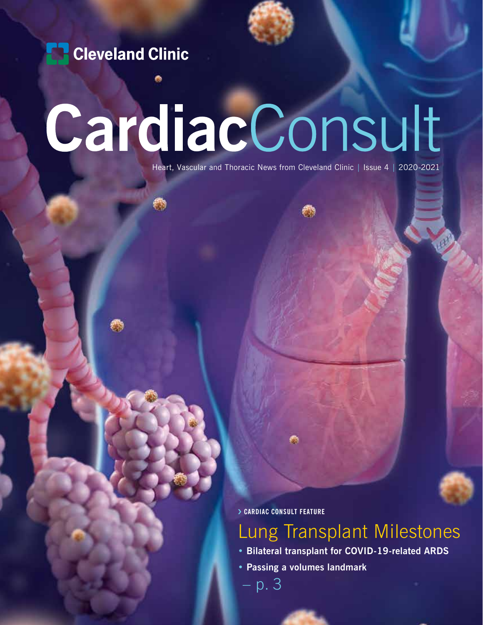**Cleveland Clinic** 

## CardiacConsult

Heart, Vascular and Thoracic News from Cleveland Clinic | Issue 4 | 2020-2021

› **CARDIAC CONSULT FEATURE**

## Lung Transplant Milestones

- **Bilateral transplant for COVID-19-related ARDS**
- **Passing a volumes landmark**

– p. 3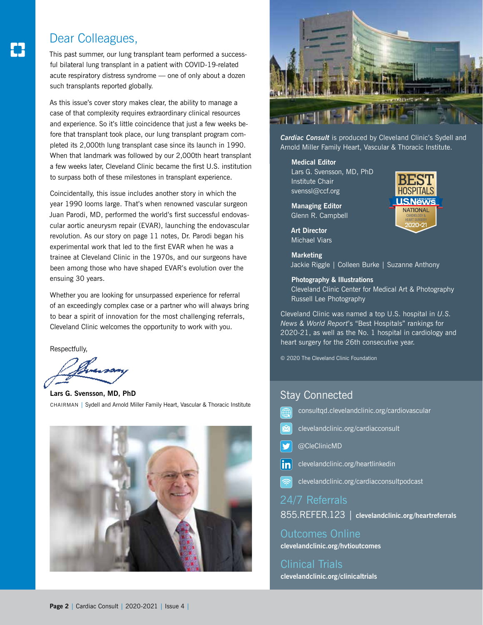#### Dear Colleagues,

This past summer, our lung transplant team performed a successful bilateral lung transplant in a patient with COVID-19-related acute respiratory distress syndrome — one of only about a dozen such transplants reported globally.

As this issue's cover story makes clear, the ability to manage a case of that complexity requires extraordinary clinical resources and experience. So it's little coincidence that just a few weeks before that transplant took place, our lung transplant program completed its 2,000th lung transplant case since its launch in 1990. When that landmark was followed by our 2,000th heart transplant a few weeks later, Cleveland Clinic became the first U.S. institution to surpass both of these milestones in transplant experience.

Coincidentally, this issue includes another story in which the year 1990 looms large. That's when renowned vascular surgeon Juan Parodi, MD, performed the world's first successful endovascular aortic aneurysm repair (EVAR), launching the endovascular revolution. As our story on page 11 notes, Dr. Parodi began his experimental work that led to the first EVAR when he was a trainee at Cleveland Clinic in the 1970s, and our surgeons have been among those who have shaped EVAR's evolution over the ensuing 30 years.

Whether you are looking for unsurpassed experience for referral of an exceedingly complex case or a partner who will always bring to bear a spirit of innovation for the most challenging referrals, Cleveland Clinic welcomes the opportunity to work with you.

Respectfully,

**Lars G. Svensson, MD, PhD** CHAIRMAN | Sydell and Arnold Miller Family Heart, Vascular & Thoracic Institute





*Cardiac Consult* is produced by Cleveland Clinic's Sydell and Arnold Miller Family Heart, Vascular & Thoracic Institute.

**Medical Editor**

Lars G. Svensson, MD, PhD Institute Chair svenssl@ccf.org

**Managing Editor** Glenn R. Campbell

**Art Director** Michael Viars

**Marketing** Jackie Riggle | Colleen Burke | Suzanne Anthony

#### **Photography & Illustrations**

Cleveland Clinic Center for Medical Art & Photography Russell Lee Photography

Cleveland Clinic was named a top U.S. hospital in *U.S. News & World Report*'s "Best Hospitals" rankings for 2020-21, as well as the No. 1 hospital in cardiology and heart surgery for the 26th consecutive year.

© 2020 The Cleveland Clinic Foundation

#### Stay Connected

- consultqd.clevelandclinic.org/cardiovascular
- clevelandclinic.org/cardiacconsult
- @CleClinicMD
- $\left| \mathbf{in} \right|$ clevelandclinic.org/heartlinkedin
- clevelandclinic.org/cardiacconsultpodcast

24/7 Referrals

855.REFER.123 | **clevelandclinic.org/heartreferrals**

Outcomes Online **clevelandclinic.org/hvtioutcomes**

Clinical Trials **clevelandclinic.org/clinicaltrials**

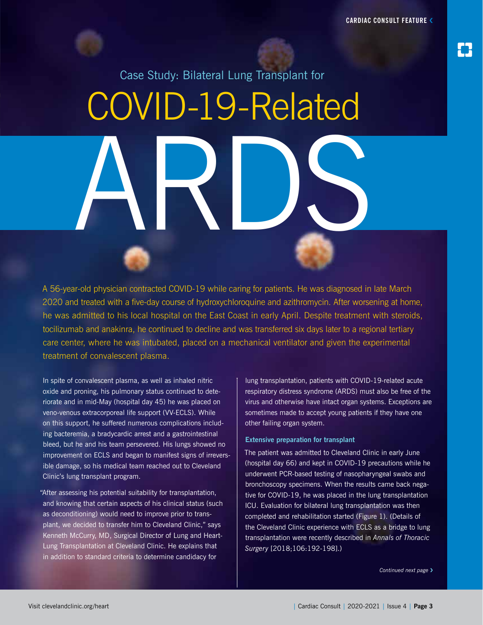

Case Study: Bilateral Lung Transplant for COVID-19-Related ARDS

A 56-year-old physician contracted COVID-19 while caring for patients. He was diagnosed in late March 2020 and treated with a five-day course of hydroxychloroquine and azithromycin. After worsening at home, he was admitted to his local hospital on the East Coast in early April. Despite treatment with steroids, tocilizumab and anakinra, he continued to decline and was transferred six days later to a regional tertiary care center, where he was intubated, placed on a mechanical ventilator and given the experimental treatment of convalescent plasma.

In spite of convalescent plasma, as well as inhaled nitric oxide and proning, his pulmonary status continued to deteriorate and in mid-May (hospital day 45) he was placed on veno-venous extracorporeal life support (VV-ECLS). While on this support, he suffered numerous complications including bacteremia, a bradycardic arrest and a gastrointestinal bleed, but he and his team persevered. His lungs showed no improvement on ECLS and began to manifest signs of irreversible damage, so his medical team reached out to Cleveland Clinic's lung transplant program.

"After assessing his potential suitability for transplantation, and knowing that certain aspects of his clinical status (such as deconditioning) would need to improve prior to transplant, we decided to transfer him to Cleveland Clinic," says Kenneth McCurry, MD, Surgical Director of Lung and Heart-Lung Transplantation at Cleveland Clinic. He explains that in addition to standard criteria to determine candidacy for

lung transplantation, patients with COVID-19-related acute respiratory distress syndrome (ARDS) must also be free of the virus and otherwise have intact organ systems. Exceptions are sometimes made to accept young patients if they have one other failing organ system.

#### **Extensive preparation for transplant**

The patient was admitted to Cleveland Clinic in early June (hospital day 66) and kept in COVID-19 precautions while he underwent PCR-based testing of nasopharyngeal swabs and bronchoscopy specimens. When the results came back negative for COVID-19, he was placed in the lung transplantation ICU. Evaluation for bilateral lung transplantation was then completed and rehabilitation started (Figure 1). (Details of the Cleveland Clinic experience with ECLS as a bridge to lung transplantation were recently described in *Annals of Thoracic Surgery* [2018;106:192-198].)

*Continued next page* ›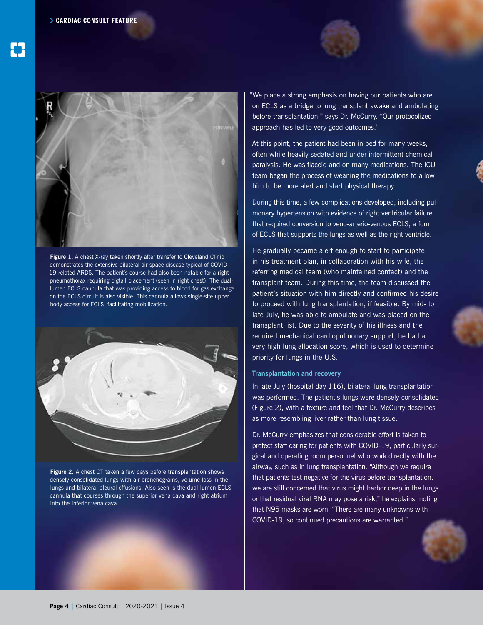



Figure 1. A chest X-ray taken shortly after transfer to Cleveland Clinic demonstrates the extensive bilateral air space disease typical of COVID-19-related ARDS. The patient's course had also been notable for a right pneumothorax requiring pigtail placement (seen in right chest). The duallumen ECLS cannula that was providing access to blood for gas exchange on the ECLS circuit is also visible. This cannula allows single-site upper body access for ECLS, facilitating mobilization.



**Figure 2.** A chest CT taken a few days before transplantation shows densely consolidated lungs with air bronchograms, volume loss in the lungs and bilateral pleural effusions. Also seen is the dual-lumen ECLS cannula that courses through the superior vena cava and right atrium into the inferior vena cava.

"We place a strong emphasis on having our patients who are on ECLS as a bridge to lung transplant awake and ambulating before transplantation," says Dr. McCurry. "Our protocolized approach has led to very good outcomes."

At this point, the patient had been in bed for many weeks, often while heavily sedated and under intermittent chemical paralysis. He was flaccid and on many medications. The ICU team began the process of weaning the medications to allow him to be more alert and start physical therapy.

During this time, a few complications developed, including pulmonary hypertension with evidence of right ventricular failure that required conversion to veno-arterio-venous ECLS, a form of ECLS that supports the lungs as well as the right ventricle.

He gradually became alert enough to start to participate in his treatment plan, in collaboration with his wife, the referring medical team (who maintained contact) and the transplant team. During this time, the team discussed the patient's situation with him directly and confirmed his desire to proceed with lung transplantation, if feasible. By mid- to late July, he was able to ambulate and was placed on the transplant list. Due to the severity of his illness and the required mechanical cardiopulmonary support, he had a very high lung allocation score, which is used to determine priority for lungs in the U.S.

#### **Transplantation and recovery**

In late July (hospital day 116), bilateral lung transplantation was performed. The patient's lungs were densely consolidated (Figure 2), with a texture and feel that Dr. McCurry describes as more resembling liver rather than lung tissue.

Dr. McCurry emphasizes that considerable effort is taken to protect staff caring for patients with COVID-19, particularly surgical and operating room personnel who work directly with the airway, such as in lung transplantation. "Although we require that patients test negative for the virus before transplantation, we are still concerned that virus might harbor deep in the lungs or that residual viral RNA may pose a risk," he explains, noting that N95 masks are worn. "There are many unknowns with COVID-19, so continued precautions are warranted."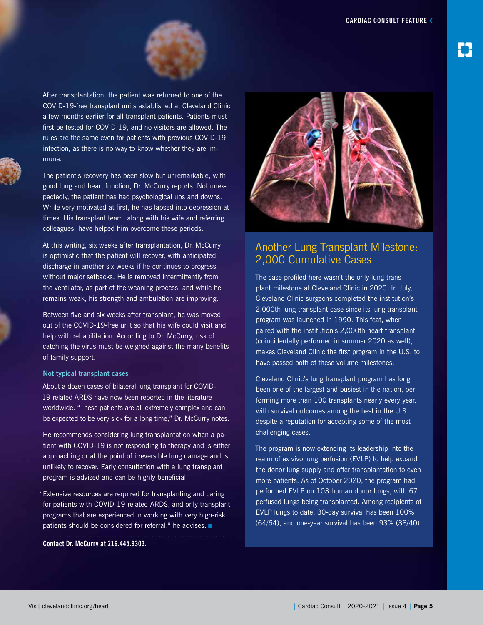

After transplantation, the patient was returned to one of the COVID-19-free transplant units established at Cleveland Clinic a few months earlier for all transplant patients. Patients must first be tested for COVID-19, and no visitors are allowed. The rules are the same even for patients with previous COVID-19 infection, as there is no way to know whether they are immune.

The patient's recovery has been slow but unremarkable, with good lung and heart function, Dr. McCurry reports. Not unexpectedly, the patient has had psychological ups and downs. While very motivated at first, he has lapsed into depression at times. His transplant team, along with his wife and referring colleagues, have helped him overcome these periods.

At this writing, six weeks after transplantation, Dr. McCurry is optimistic that the patient will recover, with anticipated discharge in another six weeks if he continues to progress without major setbacks. He is removed intermittently from the ventilator, as part of the weaning process, and while he remains weak, his strength and ambulation are improving.

Between five and six weeks after transplant, he was moved out of the COVID-19-free unit so that his wife could visit and help with rehabilitation. According to Dr. McCurry, risk of catching the virus must be weighed against the many benefits of family support.

#### **Not typical transplant cases**

About a dozen cases of bilateral lung transplant for COVID-19-related ARDS have now been reported in the literature worldwide. "These patients are all extremely complex and can be expected to be very sick for a long time," Dr. McCurry notes.

He recommends considering lung transplantation when a patient with COVID-19 is not responding to therapy and is either approaching or at the point of irreversible lung damage and is unlikely to recover. Early consultation with a lung transplant program is advised and can be highly beneficial.

"Extensive resources are required for transplanting and caring for patients with COVID-19-related ARDS, and only transplant programs that are experienced in working with very high-risk patients should be considered for referral," he advises. ■

**Contact Dr. McCurry at 216.445.9303.**



#### Another Lung Transplant Milestone: 2,000 Cumulative Cases

The case profiled here wasn't the only lung transplant milestone at Cleveland Clinic in 2020. In July, Cleveland Clinic surgeons completed the institution's 2,000th lung transplant case since its lung transplant program was launched in 1990. This feat, when paired with the institution's 2,000th heart transplant (coincidentally performed in summer 2020 as well), makes Cleveland Clinic the first program in the U.S. to have passed both of these volume milestones.

Cleveland Clinic's lung transplant program has long been one of the largest and busiest in the nation, performing more than 100 transplants nearly every year, with survival outcomes among the best in the U.S. despite a reputation for accepting some of the most challenging cases.

The program is now extending its leadership into the realm of ex vivo lung perfusion (EVLP) to help expand the donor lung supply and offer transplantation to even more patients. As of October 2020, the program had performed EVLP on 103 human donor lungs, with 67 perfused lungs being transplanted. Among recipients of EVLP lungs to date, 30-day survival has been 100% (64/64), and one-year survival has been 93% (38/40).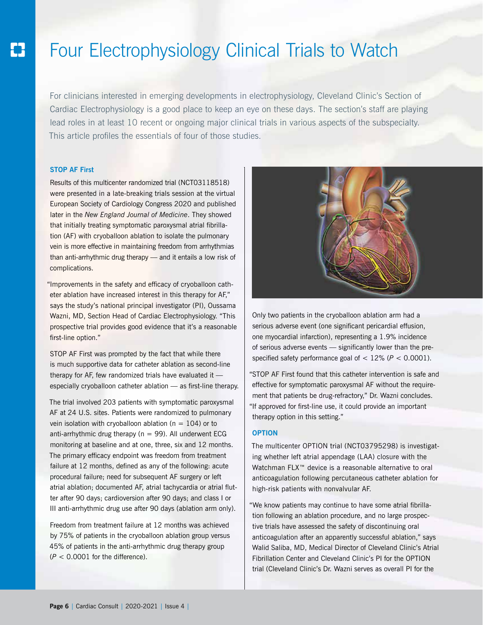## Four Electrophysiology Clinical Trials to Watch

For clinicians interested in emerging developments in electrophysiology, Cleveland Clinic's Section of Cardiac Electrophysiology is a good place to keep an eye on these days. The section's staff are playing lead roles in at least 10 recent or ongoing major clinical trials in various aspects of the subspecialty. This article profiles the essentials of four of those studies.

#### **STOP AF First**

Results of this multicenter randomized trial (NCT03118518) were presented in a late-breaking trials session at the virtual European Society of Cardiology Congress 2020 and published later in the *New England Journal of Medicine*. They showed that initially treating symptomatic paroxysmal atrial fibrillation (AF) with cryoballoon ablation to isolate the pulmonary vein is more effective in maintaining freedom from arrhythmias than anti-arrhythmic drug therapy — and it entails a low risk of complications.

"Improvements in the safety and efficacy of cryoballoon catheter ablation have increased interest in this therapy for AF," says the study's national principal investigator (PI), Oussama Wazni, MD, Section Head of Cardiac Electrophysiology. "This prospective trial provides good evidence that it's a reasonable first-line option."

STOP AF First was prompted by the fact that while there is much supportive data for catheter ablation as second-line therapy for AF, few randomized trials have evaluated it especially cryoballoon catheter ablation — as first-line therapy.

The trial involved 203 patients with symptomatic paroxysmal AF at 24 U.S. sites. Patients were randomized to pulmonary vein isolation with cryoballoon ablation ( $n = 104$ ) or to anti-arrhythmic drug therapy ( $n = 99$ ). All underwent ECG monitoring at baseline and at one, three, six and 12 months. The primary efficacy endpoint was freedom from treatment failure at 12 months, defined as any of the following: acute procedural failure; need for subsequent AF surgery or left atrial ablation; documented AF, atrial tachycardia or atrial flutter after 90 days; cardioversion after 90 days; and class I or III anti-arrhythmic drug use after 90 days (ablation arm only).

Freedom from treatment failure at 12 months was achieved by 75% of patients in the cryoballoon ablation group versus 45% of patients in the anti-arrhythmic drug therapy group  $(P < 0.0001$  for the difference).



Only two patients in the cryoballoon ablation arm had a serious adverse event (one significant pericardial effusion, one myocardial infarction), representing a 1.9% incidence of serious adverse events — significantly lower than the prespecified safety performance goal of < 12% (*P* < 0.0001).

"STOP AF First found that this catheter intervention is safe and effective for symptomatic paroxysmal AF without the requirement that patients be drug-refractory," Dr. Wazni concludes. "If approved for first-line use, it could provide an important therapy option in this setting."

#### **OPTION**

The multicenter OPTION trial (NCT03795298) is investigating whether left atrial appendage (LAA) closure with the Watchman FLX<sup>™</sup> device is a reasonable alternative to oral anticoagulation following percutaneous catheter ablation for high-risk patients with nonvalvular AF.

"We know patients may continue to have some atrial fibrillation following an ablation procedure, and no large prospective trials have assessed the safety of discontinuing oral anticoagulation after an apparently successful ablation," says Walid Saliba, MD, Medical Director of Cleveland Clinic's Atrial Fibrillation Center and Cleveland Clinic's PI for the OPTION trial (Cleveland Clinic's Dr. Wazni serves as overall PI for the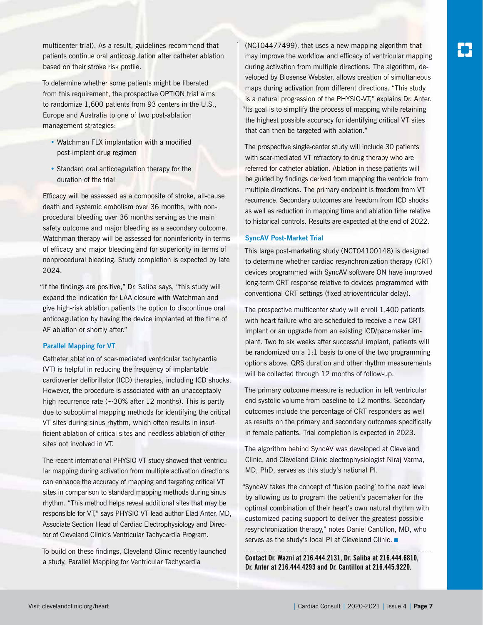multicenter trial). As a result, guidelines recommend that patients continue oral anticoagulation after catheter ablation based on their stroke risk profile.

To determine whether some patients might be liberated from this requirement, the prospective OPTION trial aims to randomize 1,600 patients from 93 centers in the U.S., Europe and Australia to one of two post-ablation management strategies:

- Watchman FLX implantation with a modified post-implant drug regimen
- Standard oral anticoagulation therapy for the duration of the trial

Efficacy will be assessed as a composite of stroke, all-cause death and systemic embolism over 36 months, with nonprocedural bleeding over 36 months serving as the main safety outcome and major bleeding as a secondary outcome. Watchman therapy will be assessed for noninferiority in terms of efficacy and major bleeding and for superiority in terms of nonprocedural bleeding. Study completion is expected by late 2024.

"If the findings are positive," Dr. Saliba says, "this study will expand the indication for LAA closure with Watchman and give high-risk ablation patients the option to discontinue oral anticoagulation by having the device implanted at the time of AF ablation or shortly after."

#### **Parallel Mapping for VT**

Catheter ablation of scar-mediated ventricular tachycardia (VT) is helpful in reducing the frequency of implantable cardioverter defibrillator (ICD) therapies, including ICD shocks. However, the procedure is associated with an unacceptably high recurrence rate ( $\sim$ 30% after 12 months). This is partly due to suboptimal mapping methods for identifying the critical VT sites during sinus rhythm, which often results in insufficient ablation of critical sites and needless ablation of other sites not involved in VT.

The recent international PHYSIO-VT study showed that ventricular mapping during activation from multiple activation directions can enhance the accuracy of mapping and targeting critical VT sites in comparison to standard mapping methods during sinus rhythm. "This method helps reveal additional sites that may be responsible for VT," says PHYSIO-VT lead author Elad Anter, MD, Associate Section Head of Cardiac Electrophysiology and Director of Cleveland Clinic's Ventricular Tachycardia Program.

To build on these findings, Cleveland Clinic recently launched a study, Parallel Mapping for Ventricular Tachycardia

(NCT04477499), that uses a new mapping algorithm that may improve the workflow and efficacy of ventricular mapping during activation from multiple directions. The algorithm, developed by Biosense Webster, allows creation of simultaneous maps during activation from different directions. "This study is a natural progression of the PHYSIO-VT," explains Dr. Anter. "Its goal is to simplify the process of mapping while retaining the highest possible accuracy for identifying critical VT sites that can then be targeted with ablation."

The prospective single-center study will include 30 patients with scar-mediated VT refractory to drug therapy who are referred for catheter ablation. Ablation in these patients will be guided by findings derived from mapping the ventricle from multiple directions. The primary endpoint is freedom from VT recurrence. Secondary outcomes are freedom from ICD shocks as well as reduction in mapping time and ablation time relative to historical controls. Results are expected at the end of 2022.

#### **SyncAV Post-Market Trial**

This large post-marketing study (NCT04100148) is designed to determine whether cardiac resynchronization therapy (CRT) devices programmed with SyncAV software ON have improved long-term CRT response relative to devices programmed with conventional CRT settings (fixed atrioventricular delay).

The prospective multicenter study will enroll 1,400 patients with heart failure who are scheduled to receive a new CRT implant or an upgrade from an existing ICD/pacemaker implant. Two to six weeks after successful implant, patients will be randomized on a 1:1 basis to one of the two programming options above. QRS duration and other rhythm measurements will be collected through 12 months of follow-up.

The primary outcome measure is reduction in left ventricular end systolic volume from baseline to 12 months. Secondary outcomes include the percentage of CRT responders as well as results on the primary and secondary outcomes specifically in female patients. Trial completion is expected in 2023.

The algorithm behind SyncAV was developed at Cleveland Clinic, and Cleveland Clinic electrophysiologist Niraj Varma, MD, PhD, serves as this study's national PI.

"SyncAV takes the concept of 'fusion pacing' to the next level by allowing us to program the patient's pacemaker for the optimal combination of their heart's own natural rhythm with customized pacing support to deliver the greatest possible resynchronization therapy," notes Daniel Cantillon, MD, who serves as the study's local PI at Cleveland Clinic. ■

**Contact Dr. Wazni at 216.444.2131, Dr. Saliba at 216.444.6810, Dr. Anter at 216.444.4293 and Dr. Cantillon at 216.445.9220.**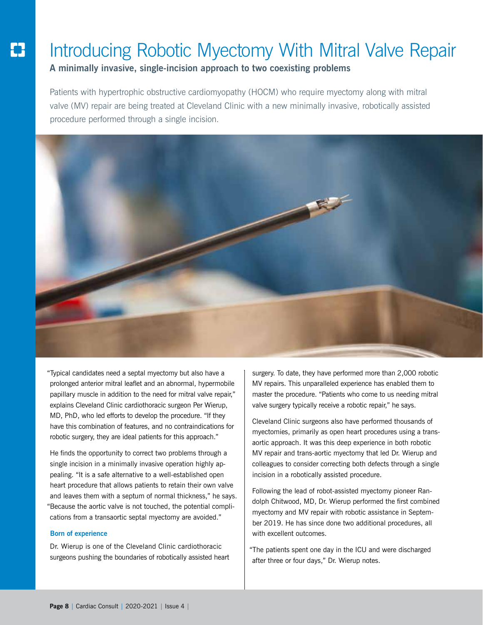## Introducing Robotic Myectomy With Mitral Valve Repair

**A minimally invasive, single-incision approach to two coexisting problems**

Patients with hypertrophic obstructive cardiomyopathy (HOCM) who require myectomy along with mitral valve (MV) repair are being treated at Cleveland Clinic with a new minimally invasive, robotically assisted procedure performed through a single incision.



"Typical candidates need a septal myectomy but also have a prolonged anterior mitral leaflet and an abnormal, hypermobile papillary muscle in addition to the need for mitral valve repair," explains Cleveland Clinic cardiothoracic surgeon Per Wierup, MD, PhD, who led efforts to develop the procedure. "If they have this combination of features, and no contraindications for robotic surgery, they are ideal patients for this approach."

He finds the opportunity to correct two problems through a single incision in a minimally invasive operation highly appealing. "It is a safe alternative to a well-established open heart procedure that allows patients to retain their own valve and leaves them with a septum of normal thickness," he says. "Because the aortic valve is not touched, the potential complications from a transaortic septal myectomy are avoided."

#### **Born of experience**

Dr. Wierup is one of the Cleveland Clinic cardiothoracic surgeons pushing the boundaries of robotically assisted heart surgery. To date, they have performed more than 2,000 robotic MV repairs. This unparalleled experience has enabled them to master the procedure. "Patients who come to us needing mitral valve surgery typically receive a robotic repair," he says.

Cleveland Clinic surgeons also have performed thousands of myectomies, primarily as open heart procedures using a transaortic approach. It was this deep experience in both robotic MV repair and trans-aortic myectomy that led Dr. Wierup and colleagues to consider correcting both defects through a single incision in a robotically assisted procedure.

Following the lead of robot-assisted myectomy pioneer Randolph Chitwood, MD, Dr. Wierup performed the first combined myectomy and MV repair with robotic assistance in September 2019. He has since done two additional procedures, all with excellent outcomes.

"The patients spent one day in the ICU and were discharged after three or four days," Dr. Wierup notes.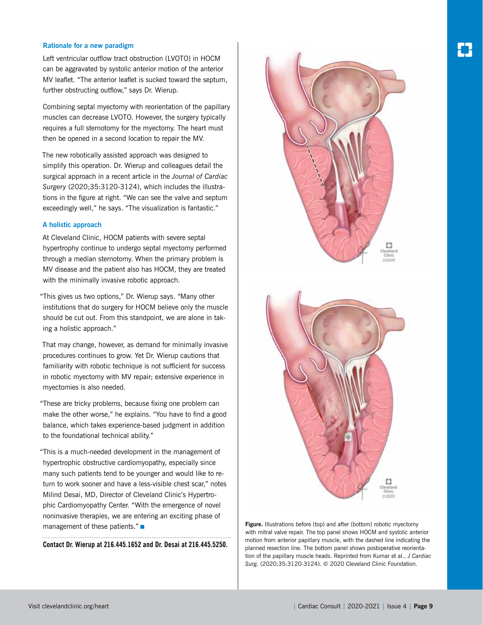#### **Rationale for a new paradigm**

Left ventricular outflow tract obstruction (LVOTO) in HOCM can be aggravated by systolic anterior motion of the anterior MV leaflet. "The anterior leaflet is sucked toward the septum, further obstructing outflow," says Dr. Wierup.

Combining septal myectomy with reorientation of the papillary muscles can decrease LVOTO. However, the surgery typically requires a full sternotomy for the myectomy. The heart must then be opened in a second location to repair the MV.

The new robotically assisted approach was designed to simplify this operation. Dr. Wierup and colleagues detail the surgical approach in a recent article in the *Journal of Cardiac Surgery* (2020;35:3120-3124), which includes the illustrations in the figure at right. "We can see the valve and septum exceedingly well," he says. "The visualization is fantastic."

#### **A holistic approach**

At Cleveland Clinic, HOCM patients with severe septal hypertrophy continue to undergo septal myectomy performed through a median sternotomy. When the primary problem is MV disease and the patient also has HOCM, they are treated with the minimally invasive robotic approach.

"This gives us two options," Dr. Wierup says. "Many other institutions that do surgery for HOCM believe only the muscle should be cut out. From this standpoint, we are alone in taking a holistic approach."

That may change, however, as demand for minimally invasive procedures continues to grow. Yet Dr. Wierup cautions that familiarity with robotic technique is not sufficient for success in robotic myectomy with MV repair; extensive experience in myectomies is also needed.

"These are tricky problems, because fixing one problem can make the other worse," he explains. "You have to find a good balance, which takes experience-based judgment in addition to the foundational technical ability."

"This is a much-needed development in the management of hypertrophic obstructive cardiomyopathy, especially since many such patients tend to be younger and would like to return to work sooner and have a less-visible chest scar," notes Milind Desai, MD, Director of Cleveland Clinic's Hypertrophic Cardiomyopathy Center. "With the emergence of novel noninvasive therapies, we are entering an exciting phase of management of these patients." ■

**Contact Dr. Wierup at 216.445.1652 and Dr. Desai at 216.445.5250.**





**Figure.** Illustrations before (top) and after (bottom) robotic myectomy with mitral valve repair. The top panel shows HOCM and systolic anterior motion from anterior papillary muscle, with the dashed line indicating the planned resection line. The bottom panel shows postoperative reorientation of the papillary muscle heads. Reprinted from Kumar et al., *J Cardiac Surg.* (2020;35:3120-3124). © 2020 Cleveland Clinic Foundation.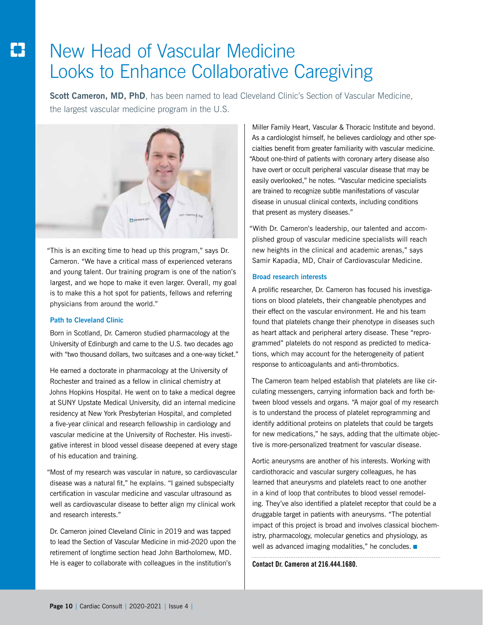## New Head of Vascular Medicine Looks to Enhance Collaborative Caregiving

**Scott Cameron, MD, PhD**, has been named to lead Cleveland Clinic's Section of Vascular Medicine, the largest vascular medicine program in the U.S.



"This is an exciting time to head up this program," says Dr. Cameron. "We have a critical mass of experienced veterans and young talent. Our training program is one of the nation's largest, and we hope to make it even larger. Overall, my goal is to make this a hot spot for patients, fellows and referring physicians from around the world."

#### **Path to Cleveland Clinic**

Born in Scotland, Dr. Cameron studied pharmacology at the University of Edinburgh and came to the U.S. two decades ago with "two thousand dollars, two suitcases and a one-way ticket."

He earned a doctorate in pharmacology at the University of Rochester and trained as a fellow in clinical chemistry at Johns Hopkins Hospital. He went on to take a medical degree at SUNY Upstate Medical University, did an internal medicine residency at New York Presbyterian Hospital, and completed a five-year clinical and research fellowship in cardiology and vascular medicine at the University of Rochester. His investigative interest in blood vessel disease deepened at every stage of his education and training.

"Most of my research was vascular in nature, so cardiovascular disease was a natural fit," he explains. "I gained subspecialty certification in vascular medicine and vascular ultrasound as well as cardiovascular disease to better align my clinical work and research interests."

Dr. Cameron joined Cleveland Clinic in 2019 and was tapped to lead the Section of Vascular Medicine in mid-2020 upon the retirement of longtime section head John Bartholomew, MD. He is eager to collaborate with colleagues in the institution's

Miller Family Heart, Vascular & Thoracic Institute and beyond. As a cardiologist himself, he believes cardiology and other specialties benefit from greater familiarity with vascular medicine. "About one-third of patients with coronary artery disease also have overt or occult peripheral vascular disease that may be easily overlooked," he notes. "Vascular medicine specialists are trained to recognize subtle manifestations of vascular disease in unusual clinical contexts, including conditions that present as mystery diseases."

"With Dr. Cameron's leadership, our talented and accomplished group of vascular medicine specialists will reach new heights in the clinical and academic arenas," says Samir Kapadia, MD, Chair of Cardiovascular Medicine.

#### **Broad research interests**

A prolific researcher, Dr. Cameron has focused his investigations on blood platelets, their changeable phenotypes and their effect on the vascular environment. He and his team found that platelets change their phenotype in diseases such as heart attack and peripheral artery disease. These "reprogrammed" platelets do not respond as predicted to medications, which may account for the heterogeneity of patient response to anticoagulants and anti-thrombotics.

The Cameron team helped establish that platelets are like circulating messengers, carrying information back and forth between blood vessels and organs. "A major goal of my research is to understand the process of platelet reprogramming and identify additional proteins on platelets that could be targets for new medications," he says, adding that the ultimate objective is more-personalized treatment for vascular disease.

Aortic aneurysms are another of his interests. Working with cardiothoracic and vascular surgery colleagues, he has learned that aneurysms and platelets react to one another in a kind of loop that contributes to blood vessel remodeling. They've also identified a platelet receptor that could be a druggable target in patients with aneurysms. "The potential impact of this project is broad and involves classical biochemistry, pharmacology, molecular genetics and physiology, as well as advanced imaging modalities," he concludes. ■

**Contact Dr. Cameron at 216.444.1680.**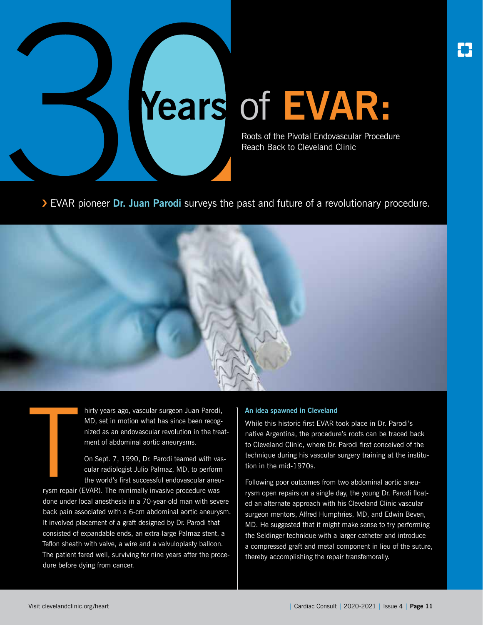

Roots of the Pivotal Endovascular Procedure Reach Back to Cleveland Clinic

› EVAR pioneer **Dr. Juan Parodi** surveys the past and future of a revolutionary procedure.



hirty years ago, vascular surgeon Juan Parodi, MD, set in motion what has since been recognized as an endovascular revolution in the treatment of abdominal aortic aneurysms.

On Sept. 7, 1990, Dr. Parodi teamed with vascular radiologist Julio Palmaz, MD, to perform the world's first successful endovascular aneu-

THE STREET ( rysm repair (EVAR). The minimally invasive procedure was done under local anesthesia in a 70-year-old man with severe back pain associated with a 6-cm abdominal aortic aneurysm. It involved placement of a graft designed by Dr. Parodi that consisted of expandable ends, an extra-large Palmaz stent, a Teflon sheath with valve, a wire and a valvuloplasty balloon. The patient fared well, surviving for nine years after the procedure before dying from cancer.

#### **An idea spawned in Cleveland**

While this historic first EVAR took place in Dr. Parodi's native Argentina, the procedure's roots can be traced back to Cleveland Clinic, where Dr. Parodi first conceived of the technique during his vascular surgery training at the institution in the mid-1970s.

Following poor outcomes from two abdominal aortic aneurysm open repairs on a single day, the young Dr. Parodi floated an alternate approach with his Cleveland Clinic vascular surgeon mentors, Alfred Humphries, MD, and Edwin Beven, MD. He suggested that it might make sense to try performing the Seldinger technique with a larger catheter and introduce a compressed graft and metal component in lieu of the suture, thereby accomplishing the repair transfemorally.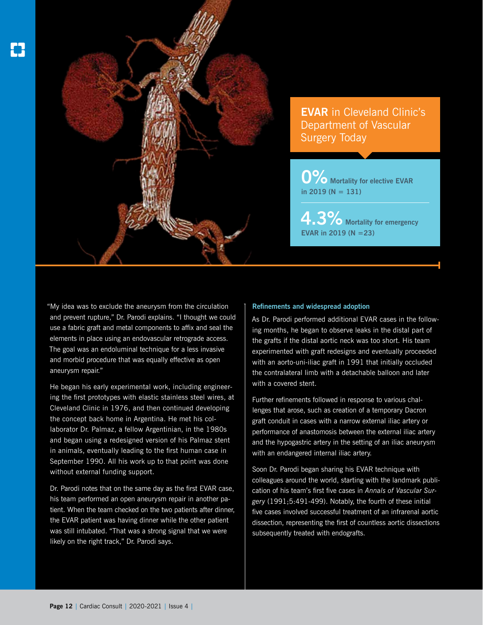

**EVAR** in Cleveland Clinic's Department of Vascular Surgery Today

**0%** Mortality for elective EVAR **in 2019 (N = 131)**

**4.3%** Mortality for emergency **EVAR in 2019 (N =23)**

"My idea was to exclude the aneurysm from the circulation and prevent rupture," Dr. Parodi explains. "I thought we could use a fabric graft and metal components to affix and seal the elements in place using an endovascular retrograde access. The goal was an endoluminal technique for a less invasive and morbid procedure that was equally effective as open aneurysm repair."

He began his early experimental work, including engineering the first prototypes with elastic stainless steel wires, at Cleveland Clinic in 1976, and then continued developing the concept back home in Argentina. He met his collaborator Dr. Palmaz, a fellow Argentinian, in the 1980s and began using a redesigned version of his Palmaz stent in animals, eventually leading to the first human case in September 1990. All his work up to that point was done without external funding support.

Dr. Parodi notes that on the same day as the first EVAR case, his team performed an open aneurysm repair in another patient. When the team checked on the two patients after dinner, the EVAR patient was having dinner while the other patient was still intubated. "That was a strong signal that we were likely on the right track," Dr. Parodi says.

#### **Refinements and widespread adoption**

As Dr. Parodi performed additional EVAR cases in the following months, he began to observe leaks in the distal part of the grafts if the distal aortic neck was too short. His team experimented with graft redesigns and eventually proceeded with an aorto-uni-iliac graft in 1991 that initially occluded the contralateral limb with a detachable balloon and later with a covered stent.

Further refinements followed in response to various challenges that arose, such as creation of a temporary Dacron graft conduit in cases with a narrow external iliac artery or performance of anastomosis between the external iliac artery and the hypogastric artery in the setting of an iliac aneurysm with an endangered internal iliac artery.

Soon Dr. Parodi began sharing his EVAR technique with colleagues around the world, starting with the landmark publication of his team's first five cases in *Annals of Vascular Surgery* (1991;5:491-499). Notably, the fourth of these initial five cases involved successful treatment of an infrarenal aortic dissection, representing the first of countless aortic dissections subsequently treated with endografts.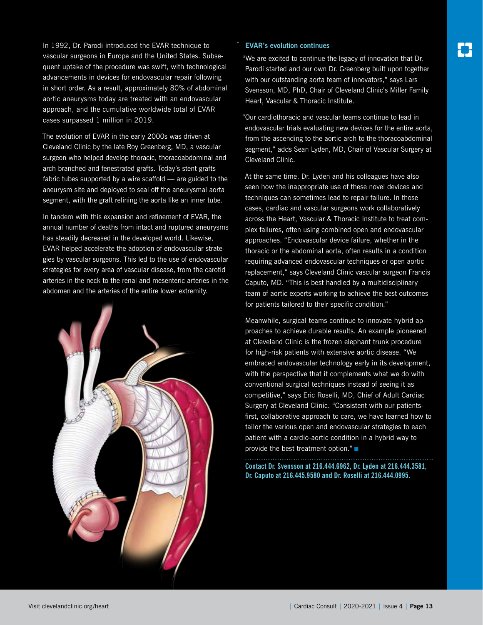In 1992, Dr. Parodi introduced the EVAR technique to vascular surgeons in Europe and the United States. Subsequent uptake of the procedure was swift, with technological advancements in devices for endovascular repair following in short order. As a result, approximately 80% of abdominal aortic aneurysms today are treated with an endovascular approach, and the cumulative worldwide total of EVAR cases surpassed 1 million in 2019.

The evolution of EVAR in the early 2000s was driven at Cleveland Clinic by the late Roy Greenberg, MD, a vascular surgeon who helped develop thoracic, thoracoabdominal and arch branched and fenestrated grafts. Today's stent grafts fabric tubes supported by a wire scaffold — are guided to the aneurysm site and deployed to seal off the aneurysmal aorta segment, with the graft relining the aorta like an inner tube.

In tandem with this expansion and refinement of EVAR, the annual number of deaths from intact and ruptured aneurysms has steadily decreased in the developed world. Likewise, EVAR helped accelerate the adoption of endovascular strategies by vascular surgeons. This led to the use of endovascular strategies for every area of vascular disease, from the carotid arteries in the neck to the renal and mesenteric arteries in the abdomen and the arteries of the entire lower extremity.



#### **EVAR's evolution continues**

"We are excited to continue the legacy of innovation that Dr. Parodi started and our own Dr. Greenberg built upon together with our outstanding aorta team of innovators," says Lars Svensson, MD, PhD, Chair of Cleveland Clinic's Miller Family Heart, Vascular & Thoracic Institute.

"Our cardiothoracic and vascular teams continue to lead in endovascular trials evaluating new devices for the entire aorta, from the ascending to the aortic arch to the thoracoabdominal segment," adds Sean Lyden, MD, Chair of Vascular Surgery at Cleveland Clinic.

At the same time, Dr. Lyden and his colleagues have also seen how the inappropriate use of these novel devices and techniques can sometimes lead to repair failure. In those cases, cardiac and vascular surgeons work collaboratively across the Heart, Vascular & Thoracic Institute to treat complex failures, often using combined open and endovascular approaches. "Endovascular device failure, whether in the thoracic or the abdominal aorta, often results in a condition requiring advanced endovascular techniques or open aortic replacement," says Cleveland Clinic vascular surgeon Francis Caputo, MD. "This is best handled by a multidisciplinary team of aortic experts working to achieve the best outcomes for patients tailored to their specific condition."

Meanwhile, surgical teams continue to innovate hybrid approaches to achieve durable results. An example pioneered at Cleveland Clinic is the frozen elephant trunk procedure for high-risk patients with extensive aortic disease. "We embraced endovascular technology early in its development, with the perspective that it complements what we do with conventional surgical techniques instead of seeing it as competitive," says Eric Roselli, MD, Chief of Adult Cardiac Surgery at Cleveland Clinic. "Consistent with our patientsfirst, collaborative approach to care, we have learned how to tailor the various open and endovascular strategies to each patient with a cardio-aortic condition in a hybrid way to provide the best treatment option." ■

**Contact Dr. Svensson at 216.444.6962, Dr. Lyden at 216.444.3581, Dr. Caputo at 216.445.9580 and Dr. Roselli at 216.444.0995.**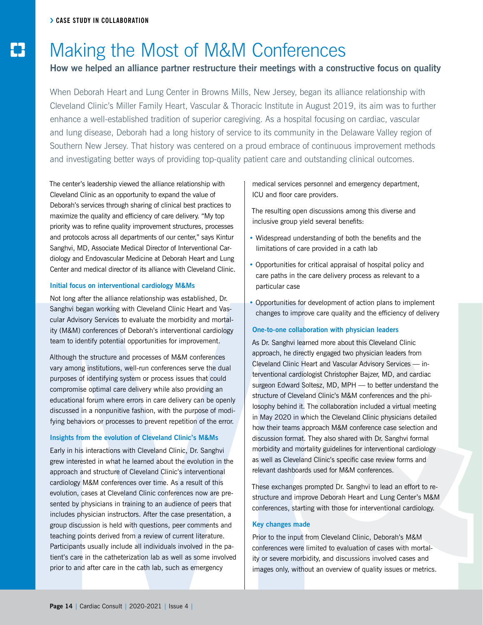#### **How we helped an alliance partner restructure their meetings with a constructive focus on quality**

When Deborah Heart and Lung Center in Browns Mills, New Jersey, began its alliance relationship with Cleveland Clinic's Miller Family Heart, Vascular & Thoracic Institute in August 2019, its aim was to further enhance a well-established tradition of superior caregiving. As a hospital focusing on cardiac, vascular and lung disease, Deborah had a long history of service to its community in the Delaware Valley region of Southern New Jersey. That history was centered on a proud embrace of continuous improvement methods and investigating better ways of providing top-quality patient care and outstanding clinical outcomes.

The center's leadership viewed the alliance relationship with Cleveland Clinic as an opportunity to expand the value of Deborah's services through sharing of clinical best practices to maximize the quality and efficiency of care delivery. "My top priority was to refine quality improvement structures, processes and protocols across all departments of our center," says Kintur Sanghvi, MD, Associate Medical Director of Interventional Cardiology and Endovascular Medicine at Deborah Heart and Lung Center and medical director of its alliance with Cleveland Clinic.

#### **Initial focus on interventional cardiology M&Ms**

Not long after the alliance relationship was established, Dr. Sanghvi began working with Cleveland Clinic Heart and Vascular Advisory Services to evaluate the morbidity and mortality (M&M) conferences of Deborah's interventional cardiology team to identify potential opportunities for improvement.

Although the structure and processes of M&M conferences vary among institutions, well-run conferences serve the dual purposes of identifying system or process issues that could compromise optimal care delivery while also providing an educational forum where errors in care delivery can be openly discussed in a nonpunitive fashion, with the purpose of modifying behaviors or processes to prevent repetition of the error.

#### **Insights from the evolution of Cleveland Clinic's M&Ms**

Early in his interactions with Cleveland Clinic, Dr. Sanghvi grew interested in what he learned about the evolution in the approach and structure of Cleveland Clinic's interventional cardiology M&M conferences over time. As a result of this evolution, cases at Cleveland Clinic conferences now are presented by physicians in training to an audience of peers that includes physician instructors. After the case presentation, a group discussion is held with questions, peer comments and teaching points derived from a review of current literature. Participants usually include all individuals involved in the patient's care in the catheterization lab as well as some involved prior to and after care in the cath lab, such as emergency

#### medical services personnel and emergency department, ICU and floor care providers.

The resulting open discussions among this diverse and inclusive group yield several benefits:

- Widespread understanding of both the benefits and the limitations of care provided in a cath lab
- Opportunities for critical appraisal of hospital policy and care paths in the care delivery process as relevant to a particular case
- Opportunities for development of action plans to implement changes to improve care quality and the efficiency of delivery

#### **One-to-one collaboration with physician leaders**

As Dr. Sanghvi learned more about this Cleveland Clinic approach, he directly engaged two physician leaders from Cleveland Clinic Heart and Vascular Advisory Services — interventional cardiologist Christopher Bajzer, MD, and cardiac surgeon Edward Soltesz, MD, MPH — to better understand the structure of Cleveland Clinic's M&M conferences and the philosophy behind it. The collaboration included a virtual meeting in May 2020 in which the Cleveland Clinic physicians detailed how their teams approach M&M conference case selection and discussion format. They also shared with Dr. Sanghvi formal morbidity and mortality guidelines for interventional cardiology as well as Cleveland Clinic's specific case review forms and relevant dashboards used for M&M conferences.

These exchanges prompted Dr. Sanghvi to lead an effort to restructure and improve Deborah Heart and Lung Center's M&M conferences, starting with those for interventional cardiology.

#### **Key changes made**

Prior to the input from Cleveland Clinic, Deborah's M&M conferences were limited to evaluation of cases with mortality or severe morbidity, and discussions involved cases and images only, without an overview of quality issues or metrics.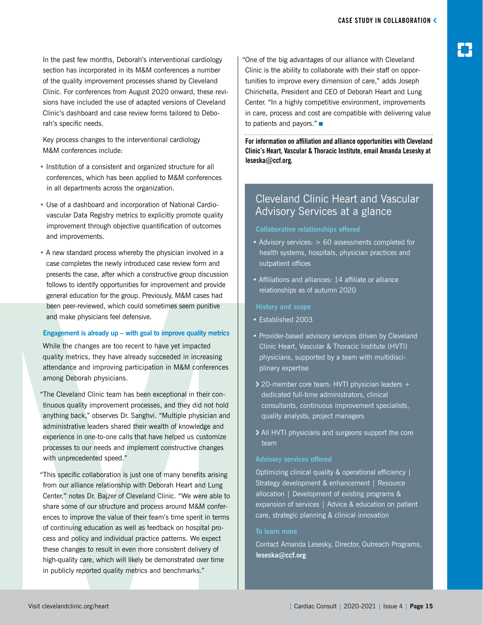In the past few months, Deborah's interventional cardiology section has incorporated in its M&M conferences a number of the quality improvement processes shared by Cleveland Clinic. For conferences from August 2020 onward, these revisions have included the use of adapted versions of Cleveland Clinic's dashboard and case review forms tailored to Deborah's specific needs.

Key process changes to the interventional cardiology M&M conferences include:

- Institution of a consistent and organized structure for all conferences, which has been applied to M&M conferences in all departments across the organization.
- Use of a dashboard and incorporation of National Cardiovascular Data Registry metrics to explicitly promote quality improvement through objective quantification of outcomes and improvements.
- A new standard process whereby the physician involved in a case completes the newly introduced case review form and presents the case, after which a constructive group discussion follows to identify opportunities for improvement and provide general education for the group. Previously, M&M cases had been peer-reviewed, which could sometimes seem punitive and make physicians feel defensive.

#### **Engagement is already up – with goal to improve quality metrics**

While the changes are too recent to have yet impacted quality metrics, they have already succeeded in increasing attendance and improving participation in M&M conferences among Deborah physicians.

"The Cleveland Clinic team has been exceptional in their continuous quality improvement processes, and they did not hold anything back," observes Dr. Sanghvi. "Multiple physician and administrative leaders shared their wealth of knowledge and experience in one-to-one calls that have helped us customize processes to our needs and implement constructive changes with unprecedented speed."

"This specific collaboration is just one of many benefits arising from our alliance relationship with Deborah Heart and Lung Center," notes Dr. Bajzer of Cleveland Clinic. "We were able to share some of our structure and process around M&M conferences to improve the value of their team's time spent in terms of continuing education as well as feedback on hospital process and policy and individual practice patterns. We expect these changes to result in even more consistent delivery of high-quality care, which will likely be demonstrated over time in publicly reported quality metrics and benchmarks."

"One of the big advantages of our alliance with Cleveland Clinic is the ability to collaborate with their staff on opportunities to improve every dimension of care," adds Joseph Chirichella, President and CEO of Deborah Heart and Lung Center. "In a highly competitive environment, improvements in care, process and cost are compatible with delivering value to patients and payors." ■

**For information on affiliation and alliance opportunities with Cleveland Clinic's Heart, Vascular & Thoracic Institute, email Amanda Lesesky at leseska@ccf.org.**

#### Cleveland Clinic Heart and Vascular Advisory Services at a glance

#### **Collaborative relationships offered**

- Advisory services: > 60 assessments completed for health systems, hospitals, physician practices and outpatient offices
- Affiliations and alliances: 14 affiliate or alliance relationships as of autumn 2020

#### **History and scope**

- Established 2003
- Provider-based advisory services driven by Cleveland Clinic Heart, Vascular & Thoracic Institute (HVTI) physicians, supported by a team with multidisciplinary expertise
- **>** 20-member core team: HVTI physician leaders + dedicated full-time administrators, clinical consultants, continuous improvement specialists, quality analysts, project managers
- › All HVTI physicians and surgeons support the core team

Optimizing clinical quality & operational efficiency | Strategy development & enhancement | Resource allocation | Development of existing programs & expansion of services | Advice & education on patient care, strategic planning & clinical innovation

#### **To learn more**

Contact Amanda Lesesky, Director, Outreach Programs, **leseska@ccf.org**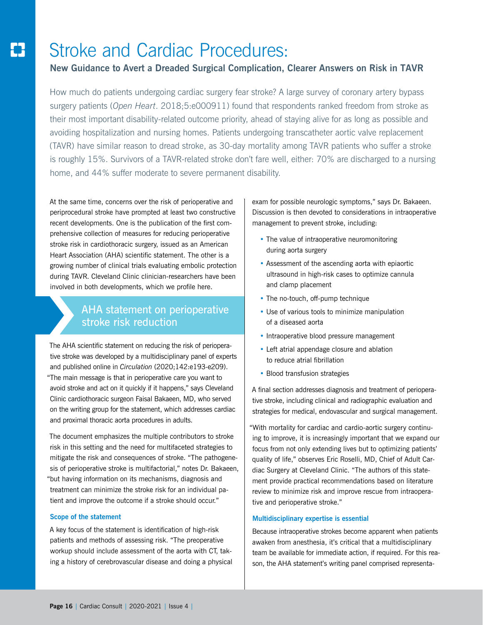## Stroke and Cardiac Procedures:

#### **New Guidance to Avert a Dreaded Surgical Complication, Clearer Answers on Risk in TAVR**

How much do patients undergoing cardiac surgery fear stroke? A large survey of coronary artery bypass surgery patients (*Open Heart*. 2018;5:e000911) found that respondents ranked freedom from stroke as their most important disability-related outcome priority, ahead of staying alive for as long as possible and avoiding hospitalization and nursing homes. Patients undergoing transcatheter aortic valve replacement (TAVR) have similar reason to dread stroke, as 30-day mortality among TAVR patients who suffer a stroke is roughly 15%. Survivors of a TAVR-related stroke don't fare well, either: 70% are discharged to a nursing home, and 44% suffer moderate to severe permanent disability.

At the same time, concerns over the risk of perioperative and periprocedural stroke have prompted at least two constructive recent developments. One is the publication of the first comprehensive collection of measures for reducing perioperative stroke risk in cardiothoracic surgery, issued as an American Heart Association (AHA) scientific statement. The other is a growing number of clinical trials evaluating embolic protection during TAVR. Cleveland Clinic clinician-researchers have been involved in both developments, which we profile here.

#### AHA statement on perioperative stroke risk reduction

The AHA scientific statement on reducing the risk of perioperative stroke was developed by a multidisciplinary panel of experts and published online in *Circulation* (2020;142:e193-e209). "The main message is that in perioperative care you want to avoid stroke and act on it quickly if it happens," says Cleveland Clinic cardiothoracic surgeon Faisal Bakaeen, MD, who served on the writing group for the statement, which addresses cardiac and proximal thoracic aorta procedures in adults.

The document emphasizes the multiple contributors to stroke risk in this setting and the need for multifaceted strategies to mitigate the risk and consequences of stroke. "The pathogenesis of perioperative stroke is multifactorial," notes Dr. Bakaeen, "but having information on its mechanisms, diagnosis and treatment can minimize the stroke risk for an individual patient and improve the outcome if a stroke should occur."

#### **Scope of the statement**

A key focus of the statement is identification of high-risk patients and methods of assessing risk. "The preoperative workup should include assessment of the aorta with CT, taking a history of cerebrovascular disease and doing a physical exam for possible neurologic symptoms," says Dr. Bakaeen. Discussion is then devoted to considerations in intraoperative management to prevent stroke, including:

- The value of intraoperative neuromonitoring during aorta surgery
- Assessment of the ascending aorta with epiaortic ultrasound in high-risk cases to optimize cannula and clamp placement
- The no-touch, off-pump technique
- Use of various tools to minimize manipulation of a diseased aorta
- Intraoperative blood pressure management
- Left atrial appendage closure and ablation to reduce atrial fibrillation
- Blood transfusion strategies

A final section addresses diagnosis and treatment of perioperative stroke, including clinical and radiographic evaluation and strategies for medical, endovascular and surgical management.

"With mortality for cardiac and cardio-aortic surgery continuing to improve, it is increasingly important that we expand our focus from not only extending lives but to optimizing patients' quality of life," observes Eric Roselli, MD, Chief of Adult Cardiac Surgery at Cleveland Clinic. "The authors of this statement provide practical recommendations based on literature review to minimize risk and improve rescue from intraoperative and perioperative stroke."

#### **Multidisciplinary expertise is essential**

Because intraoperative strokes become apparent when patients awaken from anesthesia, it's critical that a multidisciplinary team be available for immediate action, if required. For this reason, the AHA statement's writing panel comprised representa-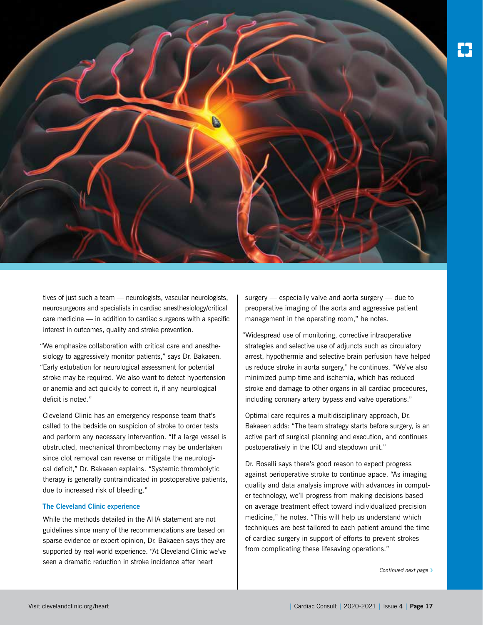

tives of just such a team — neurologists, vascular neurologists, neurosurgeons and specialists in cardiac anesthesiology/critical care medicine — in addition to cardiac surgeons with a specific interest in outcomes, quality and stroke prevention.

"We emphasize collaboration with critical care and anesthesiology to aggressively monitor patients," says Dr. Bakaeen. "Early extubation for neurological assessment for potential stroke may be required. We also want to detect hypertension or anemia and act quickly to correct it, if any neurological deficit is noted."

Cleveland Clinic has an emergency response team that's called to the bedside on suspicion of stroke to order tests and perform any necessary intervention. "If a large vessel is obstructed, mechanical thrombectomy may be undertaken since clot removal can reverse or mitigate the neurological deficit," Dr. Bakaeen explains. "Systemic thrombolytic therapy is generally contraindicated in postoperative patients, due to increased risk of bleeding."

#### **The Cleveland Clinic experience**

While the methods detailed in the AHA statement are not guidelines since many of the recommendations are based on sparse evidence or expert opinion, Dr. Bakaeen says they are supported by real-world experience. "At Cleveland Clinic we've seen a dramatic reduction in stroke incidence after heart

surgery — especially valve and aorta surgery — due to preoperative imaging of the aorta and aggressive patient management in the operating room," he notes.

"Widespread use of monitoring, corrective intraoperative strategies and selective use of adjuncts such as circulatory arrest, hypothermia and selective brain perfusion have helped us reduce stroke in aorta surgery," he continues. "We've also minimized pump time and ischemia, which has reduced stroke and damage to other organs in all cardiac procedures, including coronary artery bypass and valve operations."

Optimal care requires a multidisciplinary approach, Dr. Bakaeen adds: "The team strategy starts before surgery, is an active part of surgical planning and execution, and continues postoperatively in the ICU and stepdown unit."

Dr. Roselli says there's good reason to expect progress against perioperative stroke to continue apace. "As imaging quality and data analysis improve with advances in computer technology, we'll progress from making decisions based on average treatment effect toward individualized precision medicine," he notes. "This will help us understand which techniques are best tailored to each patient around the time of cardiac surgery in support of efforts to prevent strokes from complicating these lifesaving operations."

*Continued next page* ›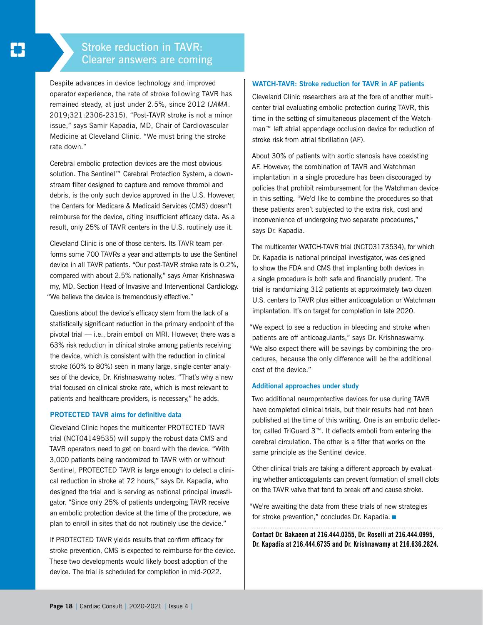#### Stroke reduction in TAVR: Clearer answers are coming

Despite advances in device technology and improved operator experience, the rate of stroke following TAVR has remained steady, at just under 2.5%, since 2012 (*JAMA*. 2019;321:2306-2315). "Post-TAVR stroke is not a minor issue," says Samir Kapadia, MD, Chair of Cardiovascular Medicine at Cleveland Clinic. "We must bring the stroke rate down."

Cerebral embolic protection devices are the most obvious solution. The Sentinel™ Cerebral Protection System, a downstream filter designed to capture and remove thrombi and debris, is the only such device approved in the U.S. However, the Centers for Medicare & Medicaid Services (CMS) doesn't reimburse for the device, citing insufficient efficacy data. As a result, only 25% of TAVR centers in the U.S. routinely use it.

Cleveland Clinic is one of those centers. Its TAVR team performs some 700 TAVRs a year and attempts to use the Sentinel device in all TAVR patients. "Our post-TAVR stroke rate is 0.2%, compared with about 2.5% nationally," says Amar Krishnaswamy, MD, Section Head of Invasive and Interventional Cardiology. "We believe the device is tremendously effective."

Questions about the device's efficacy stem from the lack of a statistically significant reduction in the primary endpoint of the pivotal trial — i.e., brain emboli on MRI. However, there was a 63% risk reduction in clinical stroke among patients receiving the device, which is consistent with the reduction in clinical stroke (60% to 80%) seen in many large, single-center analyses of the device, Dr. Krishnaswamy notes. "That's why a new trial focused on clinical stroke rate, which is most relevant to patients and healthcare providers, is necessary," he adds.

#### **PROTECTED TAVR aims for definitive data**

Cleveland Clinic hopes the multicenter PROTECTED TAVR trial (NCT04149535) will supply the robust data CMS and TAVR operators need to get on board with the device. "With 3,000 patients being randomized to TAVR with or without Sentinel, PROTECTED TAVR is large enough to detect a clinical reduction in stroke at 72 hours," says Dr. Kapadia, who designed the trial and is serving as national principal investigator. "Since only 25% of patients undergoing TAVR receive an embolic protection device at the time of the procedure, we plan to enroll in sites that do not routinely use the device."

If PROTECTED TAVR yields results that confirm efficacy for stroke prevention, CMS is expected to reimburse for the device. These two developments would likely boost adoption of the device. The trial is scheduled for completion in mid-2022.

#### **WATCH-TAVR: Stroke reduction for TAVR in AF patients**

Cleveland Clinic researchers are at the fore of another multicenter trial evaluating embolic protection during TAVR, this time in the setting of simultaneous placement of the Watchman™ left atrial appendage occlusion device for reduction of stroke risk from atrial fibrillation (AF).

About 30% of patients with aortic stenosis have coexisting AF. However, the combination of TAVR and Watchman implantation in a single procedure has been discouraged by policies that prohibit reimbursement for the Watchman device in this setting. "We'd like to combine the procedures so that these patients aren't subjected to the extra risk, cost and inconvenience of undergoing two separate procedures," says Dr. Kapadia.

The multicenter WATCH-TAVR trial (NCT03173534), for which Dr. Kapadia is national principal investigator, was designed to show the FDA and CMS that implanting both devices in a single procedure is both safe and financially prudent. The trial is randomizing 312 patients at approximately two dozen U.S. centers to TAVR plus either anticoagulation or Watchman implantation. It's on target for completion in late 2020.

"We expect to see a reduction in bleeding and stroke when patients are off anticoagulants," says Dr. Krishnaswamy. "We also expect there will be savings by combining the procedures, because the only difference will be the additional cost of the device."

#### **Additional approaches under study**

Two additional neuroprotective devices for use during TAVR have completed clinical trials, but their results had not been published at the time of this writing. One is an embolic deflector, called TriGuard 3™. It deflects emboli from entering the cerebral circulation. The other is a filter that works on the same principle as the Sentinel device.

Other clinical trials are taking a different approach by evaluating whether anticoagulants can prevent formation of small clots on the TAVR valve that tend to break off and cause stroke.

"We're awaiting the data from these trials of new strategies for stroke prevention," concludes Dr. Kapadia. ■

**Contact Dr. Bakaeen at 216.444.0355, Dr. Roselli at 216.444.0995, Dr. Kapadia at 216.444.6735 and Dr. Krishnawamy at 216.636.2824.**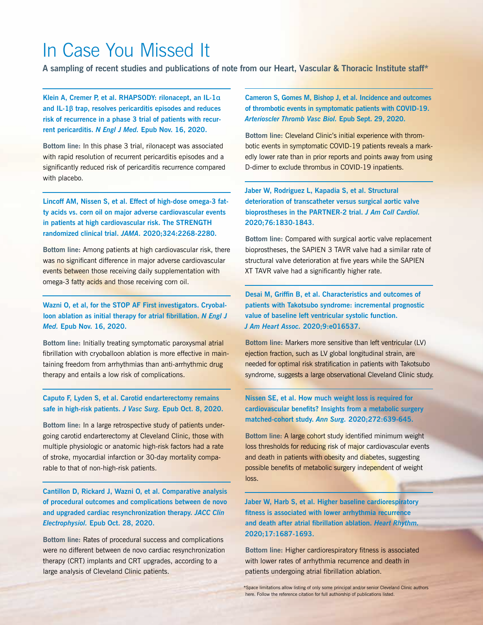## In Case You Missed It

**A sampling of recent studies and publications of note from our Heart, Vascular & Thoracic Institute staff\***

**Klein A, Cremer P, et al. RHAPSODY: rilonacept, an IL-1**α **and IL-1**β **trap, resolves pericarditis episodes and reduces risk of recurrence in a phase 3 trial of patients with recurrent pericarditis.** *N Engl J Med.* **Epub Nov. 16, 2020.**

**Bottom line:** In this phase 3 trial, rilonacept was associated with rapid resolution of recurrent pericarditis episodes and a significantly reduced risk of pericarditis recurrence compared with placebo.

**Lincoff AM, Nissen S, et al. Effect of high-dose omega-3 fatty acids vs. corn oil on major adverse cardiovascular events in patients at high cardiovascular risk. The STRENGTH randomized clinical trial.** *JAMA.* **2020;324:2268-2280.**

**Bottom line:** Among patients at high cardiovascular risk, there was no significant difference in major adverse cardiovascular events between those receiving daily supplementation with omega-3 fatty acids and those receiving corn oil.

**Wazni O, et al, for the STOP AF First investigators. Cryoballoon ablation as initial therapy for atrial fibrillation.** *N Engl J Med.* **Epub Nov. 16, 2020.**

**Bottom line:** Initially treating symptomatic paroxysmal atrial fibrillation with cryoballoon ablation is more effective in maintaining freedom from arrhythmias than anti-arrhythmic drug therapy and entails a low risk of complications.

**Caputo F, Lyden S, et al. Carotid endarterectomy remains safe in high-risk patients.** *J Vasc Surg.* **Epub Oct. 8, 2020.**

**Bottom line:** In a large retrospective study of patients undergoing carotid endarterectomy at Cleveland Clinic, those with multiple physiologic or anatomic high-risk factors had a rate of stroke, myocardial infarction or 30-day mortality comparable to that of non-high-risk patients.

**Cantillon D, Rickard J, Wazni O, et al. Comparative analysis of procedural outcomes and complications between de novo and upgraded cardiac resynchronization therapy.** *JACC Clin Electrophysiol.* **Epub Oct. 28, 2020.**

**Bottom line:** Rates of procedural success and complications were no different between de novo cardiac resynchronization therapy (CRT) implants and CRT upgrades, according to a large analysis of Cleveland Clinic patients.

**Cameron S, Gomes M, Bishop J, et al. Incidence and outcomes of thrombotic events in symptomatic patients with COVID-19.**  *Arterioscler Thromb Vasc Biol.* **Epub Sept. 29, 2020.** 

**Bottom line:** Cleveland Clinic's initial experience with thrombotic events in symptomatic COVID-19 patients reveals a markedly lower rate than in prior reports and points away from using D-dimer to exclude thrombus in COVID-19 inpatients.

**Jaber W, Rodriguez L, Kapadia S, et al. Structural deterioration of transcatheter versus surgical aortic valve bioprostheses in the PARTNER-2 trial.** *J Am Coll Cardiol.* **2020;76:1830-1843.**

**Bottom line:** Compared with surgical aortic valve replacement bioprostheses, the SAPIEN 3 TAVR valve had a similar rate of structural valve deterioration at five years while the SAPIEN XT TAVR valve had a significantly higher rate.

**Desai M, Griffin B, et al. Characteristics and outcomes of patients with Takotsubo syndrome: incremental prognostic value of baseline left ventricular systolic function.**  *J Am Heart Assoc.* **2020;9:e016537.**

**Bottom line:** Markers more sensitive than left ventricular (LV) ejection fraction, such as LV global longitudinal strain, are needed for optimal risk stratification in patients with Takotsubo syndrome, suggests a large observational Cleveland Clinic study.

**Nissen SE, et al. How much weight loss is required for cardiovascular benefits? Insights from a metabolic surgery matched-cohort study.** *Ann Surg.* **2020;272:639-645.**

**Bottom line:** A large cohort study identified minimum weight loss thresholds for reducing risk of major cardiovascular events and death in patients with obesity and diabetes, suggesting possible benefits of metabolic surgery independent of weight loss.

**Jaber W, Harb S, et al. Higher baseline cardiorespiratory fitness is associated with lower arrhythmia recurrence and death after atrial fibrillation ablation.** *Heart Rhythm.* **2020;17:1687-1693.**

**Bottom line:** Higher cardiorespiratory fitness is associated with lower rates of arrhythmia recurrence and death in patients undergoing atrial fibrillation ablation.

\*Space limitations allow listing of only some principal and/or senior Cleveland Clinic authors here. Follow the reference citation for full authorship of publications listed.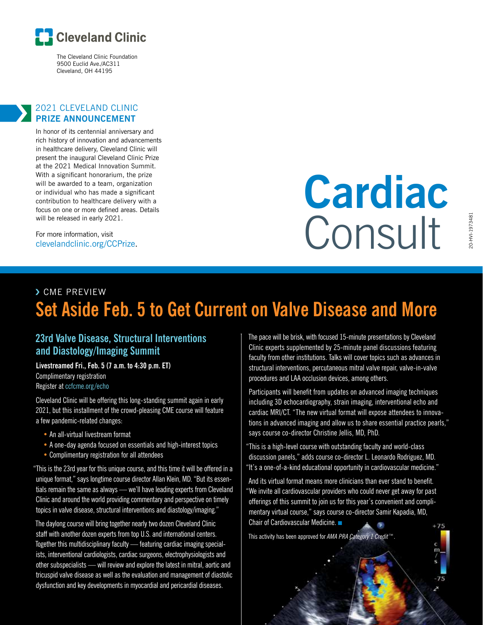

The Cleveland Clinic Foundation 9500 Euclid Ave./AC311 Cleveland, OH 44195

#### 2021 CLEVELAND CLINIC **PRIZE ANNOUNCEMENT**

In honor of its centennial anniversary and rich history of innovation and advancements in healthcare delivery, Cleveland Clinic will present the inaugural Cleveland Clinic Prize at the 2021 Medical Innovation Summit. With a significant honorarium, the prize will be awarded to a team, organization or individual who has made a significant contribution to healthcare delivery with a focus on one or more defined areas. Details will be released in early 2021.

For more information, visit clevelandclinic.org/CCPrize.

## **Cardiac** Consult

## 20-HVI-1973481 L8487973481-IVH

### › CME PREVIEW **Set Aside Feb. 5 to Get Current on Valve Disease and More**

#### **23rd Valve Disease, Structural Interventions and Diastology/Imaging Summit**

**Livestreamed Fri., Feb. 5 (7 a.m. to 4:30 p.m. ET)** Complimentary registration Register at ccfcme.org/echo

Cleveland Clinic will be offering this long-standing summit again in early 2021, but this installment of the crowd-pleasing CME course will feature a few pandemic-related changes:

- An all-virtual livestream format
- A one-day agenda focused on essentials and high-interest topics
- Complimentary registration for all attendees

"This is the 23rd year for this unique course, and this time it will be offered in a unique format," says longtime course director Allan Klein, MD. "But its essentials remain the same as always — we'll have leading experts from Cleveland Clinic and around the world providing commentary and perspective on timely topics in valve disease, structural interventions and diastology/imaging."

The daylong course will bring together nearly two dozen Cleveland Clinic staff with another dozen experts from top U.S. and international centers. Together this multidisciplinary faculty — featuring cardiac imaging specialists, interventional cardiologists, cardiac surgeons, electrophysiologists and other subspecialists — will review and explore the latest in mitral, aortic and tricuspid valve disease as well as the evaluation and management of diastolic dysfunction and key developments in myocardial and pericardial diseases.

The pace will be brisk, with focused 15-minute presentations by Cleveland Clinic experts supplemented by 25-minute panel discussions featuring faculty from other institutions. Talks will cover topics such as advances in structural interventions, percutaneous mitral valve repair, valve-in-valve procedures and LAA occlusion devices, among others.

Participants will benefit from updates on advanced imaging techniques including 3D echocardiography, strain imaging, interventional echo and cardiac MRI/CT. "The new virtual format will expose attendees to innovations in advanced imaging and allow us to share essential practice pearls," says course co-director Christine Jellis, MD, PhD.

"This is a high-level course with outstanding faculty and world-class discussion panels," adds course co-director L. Leonardo Rodriguez, MD. "It's a one-of-a-kind educational opportunity in cardiovascular medicine."

And its virtual format means more clinicians than ever stand to benefit. "We invite all cardiovascular providers who could never get away for past offerings of this summit to join us for this year's convenient and complimentary virtual course," says course co-director Samir Kapadia, MD, Chair of Cardiovascular Medicine. ■

This activity has been approved for *AMA PRA Category 1 Credit™*.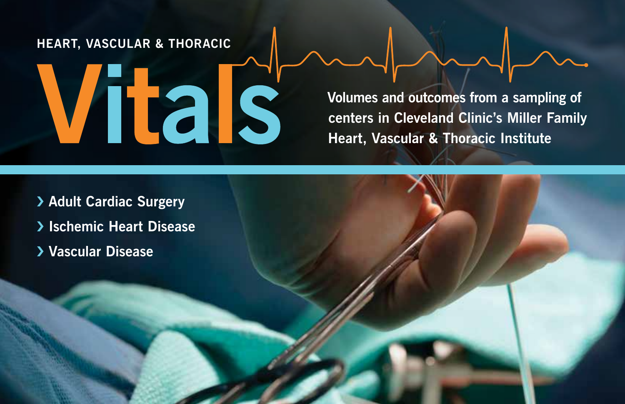#### **HEART, VASCULAR & THORACIC**

# Vitals

**Volumes and outcomes from a sampling of centers in Cleveland Clinic's Miller Family Heart, Vascular & Thoracic Institute**

› **Adult Cardiac Surgery** › **Ischemic Heart Disease** › **Vascular Disease**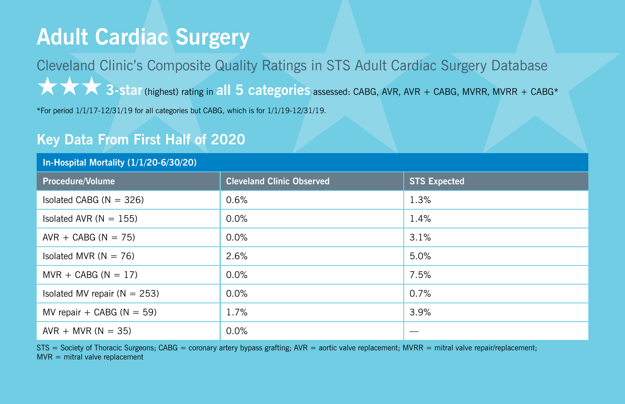## **Adult Cardiac Surgery**

Cleveland Clinic's Composite Quality Ratings in STS Adult Cardiac Surgery Database ★★★**3-star** (highest) rating in **all 5 categories** assessed: CABG, AVR, AVR + CABG, MVRR, MVRR + CABG\*

\*For period 1/1/17-12/31/19 for all categories but CABG, which is for 1/1/19-12/31/19.

#### **Key Data From First Half of 2020**

#### **In-Hospital Mortality (1/1/20-6/30/20)**

| Procedure/Volume                 | <b>Cleveland Clinic Observed</b> | <b>STS Expected</b> |
|----------------------------------|----------------------------------|---------------------|
| Isolated CABG ( $N = 326$ )      | 0.6%                             | 1.3%                |
| Isolated AVR $(N = 155)$         | $0.0\%$                          | 1.4%                |
| $AVR + CABG (N = 75)$            | $0.0\%$                          | 3.1%                |
| Isolated MVR $(N = 76)$          | 2.6%                             | 5.0%                |
| $MVR + CABG (N = 17)$            | $0.0\%$                          | 7.5%                |
| Isolated MV repair ( $N = 253$ ) | $0.0\%$                          | 0.7%                |
| MV repair + CABG ( $N = 59$ )    | 1.7%                             | 3.9%                |
| $AVR + MVR (N = 35)$             | $0.0\%$                          |                     |

STS = Society of Thoracic Surgeons; CABG = coronary artery bypass grafting; AVR = aortic valve replacement; MVRR = mitral valve repair/replacement;  $MVR = mitral value replacement$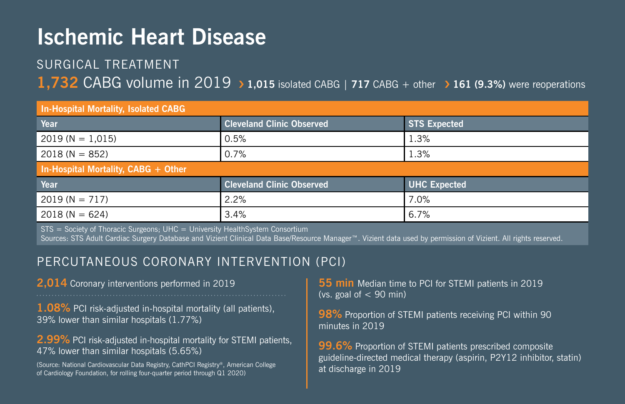## **Ischemic Heart Disease**

#### SURGICAL TREATMENT

#### **1,732** CABG volume in 2019 › **1,015** isolated CABG <sup>|</sup> **717** CABG + other› **161 (9.3%)** were reoperations

#### **In-Hospital Mortality, Isolated CABG**

| <b>Cleveland Clinic Observed</b>    | <b>STS Expected</b> |  |  |  |  |
|-------------------------------------|---------------------|--|--|--|--|
| 0.5%                                | 1.3%                |  |  |  |  |
| 0.7%                                | 1.3%                |  |  |  |  |
| In-Hospital Mortality, CABG + Other |                     |  |  |  |  |
| <b>Cleveland Clinic Observed</b>    | <b>UHC Expected</b> |  |  |  |  |
| 2.2%                                | 7.0%                |  |  |  |  |
| 3.4%                                | 6.7%                |  |  |  |  |
|                                     |                     |  |  |  |  |

STS = Society of Thoracic Surgeons; UHC = University HealthSystem Consortium

Sources: STS Adult Cardiac Surgery Database and Vizient Clinical Data Base/Resource Manager™. Vizient data used by permission of Vizient. All rights reserved.

#### PERCUTANEOUS CORONARY INTERVENTION (PCI)

**2,014** Coronary interventions performed in 2019

**1.08%** PCI risk-adjusted in-hospital mortality (all patients), 39% lower than similar hospitals (1.77%)

**2.99%** PCI risk-adjusted in-hospital mortality for STEMI patients, 47% lower than similar hospitals (5.65%)

(Source: National Cardiovascular Data Registry, CathPCI Registry®, American College of Cardiology Foundation, for rolling four-quarter period through Q1 2020)

**55 min** Median time to PCI for STEMI patients in 2019 (vs. goal of  $< 90$  min)

**98%** Proportion of STEMI patients receiving PCI within 90 minutes in 2019

**99.6%** Proportion of STEMI patients prescribed composite guideline-directed medical therapy (aspirin, P2Y12 inhibitor, statin) at discharge in 2019